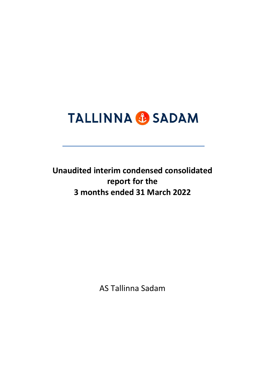# **TALLINNA & SADAM**

**Unaudited interim condensed consolidated report for the 3 months ended 31 March 2022**

AS Tallinna Sadam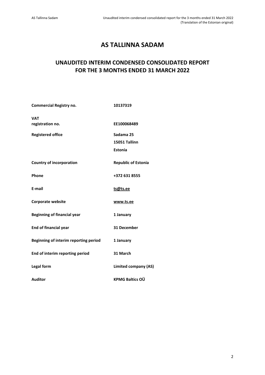# **AS TALLINNA SADAM**

# **UNAUDITED INTERIM CONDENSED CONSOLIDATED REPORT FOR THE 3 MONTHS ENDED 31 MARCH 2022**

| <b>Commercial Registry no.</b>        | 10137319                    |
|---------------------------------------|-----------------------------|
| <b>VAT</b><br>registration no.        | EE100068489                 |
| <b>Registered office</b>              | Sadama 25                   |
|                                       | 15051 Tallinn               |
|                                       | <b>Estonia</b>              |
| <b>Country of incorporation</b>       | <b>Republic of Estonia</b>  |
| Phone                                 | +372 631 8555               |
| E-mail                                | ts@ts.ee                    |
| <b>Corporate website</b>              | www.ts.ee                   |
| <b>Beginning of financial year</b>    | 1 January                   |
| <b>End of financial year</b>          | 31 December                 |
| Beginning of interim reporting period | 1 January                   |
| End of interim reporting period       | 31 March                    |
| Legal form                            | <b>Limited company (AS)</b> |
| <b>Auditor</b>                        | <b>KPMG Baltics OÜ</b>      |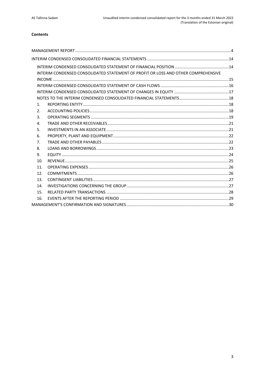# Contents

|     | INTERIM CONDENSED CONSOLIDATED STATEMENT OF PROFIT OR LOSS AND OTHER COMPREHENSIVE |  |
|-----|------------------------------------------------------------------------------------|--|
|     |                                                                                    |  |
|     |                                                                                    |  |
|     |                                                                                    |  |
|     |                                                                                    |  |
| 1.  |                                                                                    |  |
| 2.  |                                                                                    |  |
| 3.  |                                                                                    |  |
| 4.  |                                                                                    |  |
| 5.  |                                                                                    |  |
| 6.  |                                                                                    |  |
| 7.  |                                                                                    |  |
| 8.  |                                                                                    |  |
| 9.  |                                                                                    |  |
| 10. |                                                                                    |  |
| 11. |                                                                                    |  |
| 12. |                                                                                    |  |
| 13. |                                                                                    |  |
| 14. |                                                                                    |  |
| 15. |                                                                                    |  |
| 16. |                                                                                    |  |
|     |                                                                                    |  |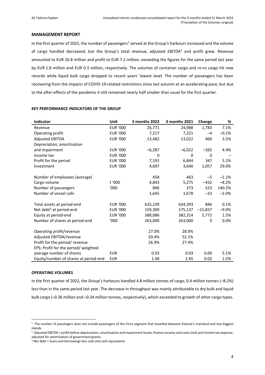# <span id="page-3-0"></span>**MANAGEMENT REPORT**

In the first quarter of 2022, the number of passengers<sup>1</sup> served at the Group's harbours increased and the volume of cargo handled decreased, but the Group's total revenue, adjusted EBITDA<sup>2</sup> and profit grew. Revenue amounted to EUR 26.8 million and profit to EUR 7.2 million, exceeding the figures for the same period last year by EUR 1.8 million and EUR 0.3 million, respectively. The volumes of container cargo and ro-ro cargo hit new records while liquid bulk cargo dropped to recent years' lowest level. The number of passengers has been recovering from the impacts of COVID-19-related restrictions since last autumn at an accelerating pace, but due to the after-effects of the pandemic it still remained nearly half smaller than usual for the first quarter.

| <b>Indicator</b>                      | Unit            | 3 months 2022 | 3 months 2021 | Change    | %       |
|---------------------------------------|-----------------|---------------|---------------|-----------|---------|
| Revenue                               | <b>EUR '000</b> | 26,771        | 24,988        | 1,783     | 7.1%    |
| Operating profit                      | <b>EUR '000</b> | 7,217         | 7,221         | $-4$      | $-0.1%$ |
| <b>Adjusted EBITDA</b>                | <b>EUR '000</b> | 13,482        | 13,022        | 460       | 3.5%    |
| Depreciation, amortisation            |                 |               |               |           |         |
| and impairment                        | <b>EUR '000</b> | $-6,287$      | $-6,022$      | $-265$    | 4.4%    |
| Income tax                            | <b>EUR '000</b> | $\Omega$      | $\Omega$      | $\Omega$  |         |
| Profit for the period                 | <b>EUR '000</b> | 7,191         | 6.844         | 347       | 5.1%    |
| Investment                            | <b>EUR '000</b> | 4,697         | 3,640         | 1,057     | 29.0%   |
|                                       |                 |               |               |           |         |
| Number of employees (average)         |                 | 458           | 463           | $-5$      | $-1.1%$ |
| Cargo volume                          | t '000          | 4,843         | 5,275         | $-432$    | $-8.2%$ |
| Number of passengers                  | '000            | 896           | 373           | 523       | 140.2%  |
| Number of vessel calls                |                 | 1,645         | 1,678         | $-33$     | $-2.0%$ |
|                                       |                 |               |               |           |         |
| Total assets at period-end            | <b>EUR '000</b> | 635,239       | 634,393       | 846       | 0.1%    |
| Net debt <sup>3</sup> at period-end   | <b>EUR '000</b> | 159,300       | 175,137       | $-15,837$ | $-9.0%$ |
| Equity at period-end                  | <b>EUR '000</b> | 388,086       | 382,314       | 5,772     | 1.5%    |
| Number of shares at period-end        | '000            | 263,000       | 263,000       | 0         | 0.0%    |
|                                       |                 |               |               |           |         |
| Operating profit/revenue              |                 | 27.0%         | 28.9%         |           |         |
| Adjusted EBITDA/revenue               |                 | 50.4%         | 52.1%         |           |         |
| Profit for the period/revenue         |                 | 26.9%         | 27.4%         |           |         |
| EPS: Profit for the period/weighted   |                 |               |               |           |         |
| average number of shares              | <b>EUR</b>      | 0.03          | 0.03          | 0.00      | 5.1%    |
| Equity/number of shares at period-end | <b>EUR</b>      | 1.48          | 1.45          | 0.02      | 1.5%    |

# **KEY PERFORMANCE INDICATORS OF THE GROUP**

#### **OPERATING VOLUMES**

In the first quarter of 2022, the Group's harbours handled 4.8 million tonnes of cargo, 0.4 million tonnes (–8.2%) less than in the same period last year. The decrease in throughput was mainly attributable to dry bulk and liquid bulk cargo (–0.36 million and –0.34 million tonnes, respectively), which exceeded to growth of other cargo types.

<sup>&</sup>lt;sup>1</sup> The number of passengers does not include passengers of the Ferry segment that travelled between Estonia's mainland and two biggest islands.

 $^2$  Adjusted EBITDA = profit before depreciation, amortisation and impairment losses, finance income and costs (net) and income tax expense, adjusted for amortisation of government grants.

 $3$  Net debt = loans and borrowings less cash and cash equivalents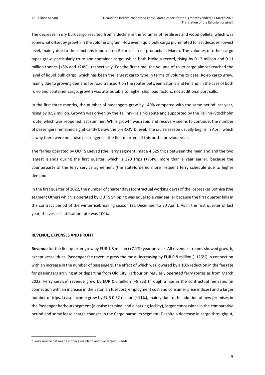The decrease in dry bulk cargo resulted from a decline in the volumes of fertilisers and wood pellets, which was somewhat offset by growth in the volume of grain. However, liquid bulk cargo plummeted to last decades' lowest level, mainly due to the sanctions imposed on Belarussian oil products in March. The volumes of other cargo types grew, particularly ro-ro and container cargo, which both broke a record, rising by 0.12 million and 0.11 million tonnes (+8% and +24%), respectively. For the first time, the volume of ro-ro cargo almost reached the level of liquid bulk cargo, which has been the largest cargo type in terms of volume to date. Ro-ro cargo grew, mainly due to growing demand for road transport on the routes between Estonia and Finland. In the case of both ro-ro and container cargo, growth was attributable to higher ship load factors, not additional port calls.

In the first three months, the number of passengers grew by 140% compared with the same period last year, rising by 0.52 million. Growth was driven by the Tallinn–Helsinki route and supported by the Tallinn–Stockholm route, which was reopened last summer. While growth was rapid and recovery seems to continue, the number of passengers remained significantly below the pre-COVID level. The cruise season usually begins in April, which is why there were no cruise passengers in the first quarters of this or the previous year.

The ferries operated by OÜ TS Laevad (the Ferry segment) made 4,625 trips between the mainland and the two largest islands during the first quarter, which is 320 trips (+7.4%) more than a year earlier, because the counterparty of the ferry service agreement (the state)ordered more frequent ferry schedule due to higher demand.

In the first quarter of 2022, the number of charter days (contractual working days) of the icebreaker Botnica (the segment Other) which is operated by OÜ TS Shipping was equal to a year earlier because the first quarter falls in the contract period of the winter icebreaking season (21 December to 20 April). As in the first quarter of last year, the vessel's utilisation rate was 100%.

#### **REVENUE, EXPENSES AND PROFIT**

**Revenue** for the first quarter grew by EUR 1.8 million (+7.1%) year on year. All revenue streams showed growth, except vessel dues. Passenger fee revenue grew the most, increasing by EUR 0.8 million (+126%) in connection with an increase in the number of passengers, the effect of which was lowered by a 10% reduction in the fee rate for passengers arriving at or departing from Old City Harbour on regularly operated ferry routes as from March 2022. Ferry service<sup>4</sup> revenue grew by EUR 0.6 million (+8.3%) through a rise in the contractual fee rates (in connection with an increase in the Estonian fuel cost, employment cost and consumer price indices) and a larger number of trips. Lease income grew by EUR 0.32 million (+11%), mainly due to the addition of new premises in the Passenger harbours segment (a cruise terminal and a parking facility), larger concessions in the comparative period and some lease charge changes in the Cargo harbours segment. Despite a decrease in cargo throughput,

<sup>4</sup> Ferry service between Estonia's mainland and two largest islands.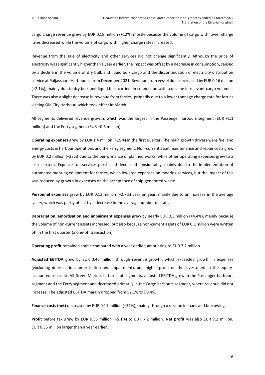cargo charge revenue grew by EUR 0.18 million (+12%) mostly because the volume of cargo with lower charge rates decreased while the volume of cargo with higher charge rates increased.

Revenue from the sale of electricity and other services did not change significantly. Although the price of electricity was significantly higher than a year earlier, the impact was offset by a decrease in consumption, caused by a decline in the volume of dry bulk and liquid bulk cargo and the discontinuation of electricity distribution service at Paljassaare Harbour as from December 2021. Revenue from vessel dues decreased by EUR 0.16 million (–2.1%), mainly due to dry bulk and liquid bulk carriers in connection with a decline in relevant cargo volumes. There was also a slight decrease in revenue from ferries, primarily due to a lower tonnage charge rate for ferries visiting Old City Harbour, which took effect in March.

All segments delivered revenue growth, which was the largest in the Passenger harbours segment (EUR +1.1 million) and the Ferry segment (EUR +0.6 million).

**Operating expenses** grew by EUR 1.4 million (+19%) in the first quarter. The main growth drivers were fuel and energy costs in harbour operations and the Ferry segment. Non-current asset maintenance and repair costs grew by EUR 0.2 million (+23%) due to the performance of planned works, while other operating expenses grew to a lesser extent. Expenses on services purchased decreased considerably, mainly due to the implementation of automated mooring equipment for ferries, which lowered expenses on mooring services, but the impact of this was reduced by growth in expenses on the acceptance of ship-generated waste.

**Personnel expenses** grew by EUR 0.13 million (+2.7%) year on year, mainly due to an increase in the average salary, which was partly offset by a decrease in the average number of staff.

**Depreciation, amortisation and impairment expenses** grew by nearly EUR 0.3 million (+4.4%), mainly because the volume of non-current assets increased, but also because non-current assets of EUR 0.1 million were written off in the first quarter (a one-off transaction).

**Operating profit** remained stable compared with a year earlier, amounting to EUR 7.2 million.

**Adjusted EBITDA** grew by EUR 0.46 million through revenue growth, which exceeded growth in expenses (excluding depreciation, amortisation and impairment), and higher profit on the investment in the equityaccounted associate AS Green Marine. In terms of segments, adjusted EBITDA grew in the Passenger harbours segment and the Ferry segment and decreased primarily in the Cargo harbours segment, where revenue did not increase. The adjusted EBITDA margin dropped from 52.1% to 50.4%.

**Finance costs (net)** decreased by EUR 0.11 million (–31%), mainly through a decline in loans and borrowings.

**Profit** before tax grew by EUR 0.35 million (+5.1%) to EUR 7.2 million. **Net profit** was also EUR 7.2 million, EUR 0.35 million larger than a year earlier.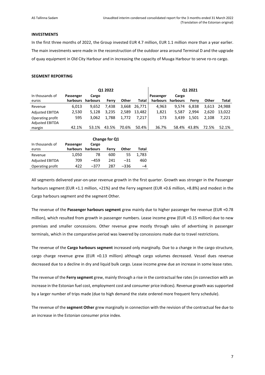# **INVESTMENTS**

In the first three months of 2022, the Group invested EUR 4.7 million, EUR 1.1 million more than a year earlier. The main investments were made in the reconstruction of the outdoor area around Terminal D and the upgrade of quay equipment in Old City Harbour and in increasing the capacity of Muuga Harbour to serve ro-ro cargo.

# **SEGMENT REPORTING**

| Q1 2022                                    |           |          |       |       |         |           | Q1 2021  |       |       |        |
|--------------------------------------------|-----------|----------|-------|-------|---------|-----------|----------|-------|-------|--------|
| In thousands of                            | Passenger | Cargo    |       |       |         | Passenger | Cargo    |       |       |        |
| euros                                      | harbours  | harbours | Ferry | Other | Total   | harbours  | harbours | Ferry | Other | Total  |
| Revenue                                    | 6,013     | 9.652    | 7.438 | 3,668 | 26.7711 | 4.963     | 9.574    | 6.838 | 3.613 | 24.988 |
| <b>Adjusted EBITDA</b>                     | 2,530     | 5.128    | 3.235 | 2.589 | 13.482  | 1,821     | 5.587    | 2.994 | 2.620 | 13.022 |
| Operating profit<br><b>Adjusted EBITDA</b> | 595       | 3.062    | 1.788 | 1,772 | 7.217   | 173       | 3.439    | 1.501 | 2.108 | 7.221  |
| margin                                     | 42.1%     | 53.1%    | 43.5% | 70.6% | 50.4%   | 36.7%     | 58.4%    | 43.8% | 72.5% | 52.1%  |

|                        |           | Change for Q1 |       |        |       |  |
|------------------------|-----------|---------------|-------|--------|-------|--|
| In thousands of        | Passenger | Cargo         |       |        |       |  |
| euros                  | harbours  | harbours      | Ferry | Other  | Total |  |
| Revenue                | 1,050     | 78            | 600   | 55     | 1,783 |  |
| <b>Adjusted EBITDA</b> | 709       | –459          | 241   | $-31$  | 460   |  |
| Operating profit       | 422       | -377          | 287   | $-336$ | -4    |  |

All segments delivered year-on-year revenue growth in the first quarter. Growth was stronger in the Passenger harbours segment (EUR +1.1 million, +21%) and the Ferry segment (EUR +0.6 million, +8.8%) and modest in the Cargo harbours segment and the segment Other.

The revenue of the **Passenger harbours segment** grew mainly due to higher passenger fee revenue (EUR +0.78 million), which resulted from growth in passenger numbers. Lease income grew (EUR +0.15 million) due to new premises and smaller concessions. Other revenue grew mostly through sales of advertising in passenger terminals, which in the comparative period was lowered by concessions made due to travel restrictions.

The revenue of the **Cargo harbours segment** increased only marginally. Due to a change in the cargo structure, cargo charge revenue grew (EUR +0.13 million) although cargo volumes decreased. Vessel dues revenue decreased due to a decline in dry and liquid bulk cargo. Lease income grew due an increase in some lease rates.

The revenue of the **Ferry segment** grew, mainly through a rise in the contractual fee rates (in connection with an increase in the Estonian fuel cost, employment cost and consumer price indices). Revenue growth was supported by a larger number of trips made (due to high demand the state ordered more frequent ferry schedule).

The revenue of the **segment Other** grew marginally in connection with the revision of the contractual fee due to an increase in the Estonian consumer price index.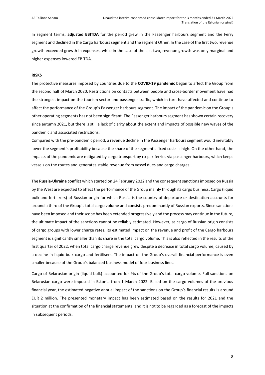In segment terms, **adjusted EBITDA** for the period grew in the Passenger harbours segment and the Ferry segment and declined in the Cargo harbours segment and the segment Other. In the case of the first two, revenue growth exceeded growth in expenses, while in the case of the last two, revenue growth was only marginal and higher expenses lowered EBITDA.

#### **RISKS**

The protective measures imposed by countries due to the **COVID-19 pandemic** began to affect the Group from the second half of March 2020. Restrictions on contacts between people and cross-border movement have had the strongest impact on the tourism sector and passenger traffic, which in turn have affected and continue to affect the performance of the Group's Passenger harbours segment. The impact of the pandemic on the Group's other operating segments has not been significant. The Passenger harbours segment has shown certain recovery since autumn 2021, but there is still a lack of clarity about the extent and impacts of possible new waves of the pandemic and associated restrictions.

Compared with the pre-pandemic period, a revenue decline in the Passenger harbours segment would inevitably lower the segment's profitability because the share of the segment's fixed costs is high. On the other hand, the impacts of the pandemic are mitigated by cargo transport by ro-pax ferries via passenger harbours, which keeps vessels on the routes and generates stable revenue from vessel dues and cargo charges.

The **Russia-Ukraine conflict** which started on 24 February 2022 and the consequent sanctions imposed on Russia by the West are expected to affect the performance of the Group mainly through its cargo business. Cargo (liquid bulk and fertilizers) of Russian origin for which Russia is the country of departure or destination accounts for around a third of the Group's total cargo volume and consists predominantly of Russian exports. Since sanctions have been imposed and their scope has been extended progressively and the process may continue in the future, the ultimate impact of the sanctions cannot be reliably estimated. However, as cargo of Russian origin consists of cargo groups with lower charge rates, its estimated impact on the revenue and profit of the Cargo harbours segment is significantly smaller than its share in the total cargo volume. This is also reflected in the results of the first quarter of 2022, when total cargo charge revenue grew despite a decrease in total cargo volume, caused by a decline in liquid bulk cargo and fertilisers. The impact on the Group's overall financial performance is even smaller because of the Group's balanced business model of four business lines.

Cargo of Belarusian origin (liquid bulk) accounted for 9% of the Group's total cargo volume. Full sanctions on Belarusian cargo were imposed in Estonia from 1 March 2022. Based on the cargo volumes of the previous financial year, the estimated negative annual impact of the sanctions on the Group's financial results is around EUR 2 million. The presented monetary impact has been estimated based on the results for 2021 and the situation at the confirmation of the financial statements; and it is not to be regarded as a forecast of the impacts in subsequent periods.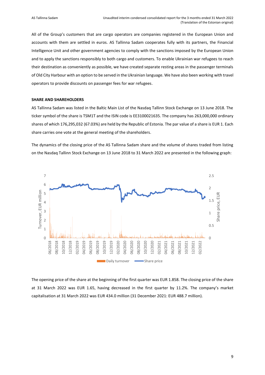All of the Group's customers that are cargo operators are companies registered in the European Union and accounts with them are settled in euros. AS Tallinna Sadam cooperates fully with its partners, the Financial Intelligence Unit and other government agencies to comply with the sanctions imposed by the European Union and to apply the sanctions responsibly to both cargo and customers. To enable Ukrainian war refugees to reach their destination as conveniently as possible, we have created separate resting areas in the passenger terminals of Old City Harbour with an option to be served in the Ukrainian language. We have also been working with travel operators to provide discounts on passenger fees for war refugees.

#### **SHARE AND SHAREHOLDERS**

AS Tallinna Sadam was listed in the Baltic Main List of the Nasdaq Tallinn Stock Exchange on 13 June 2018. The ticker symbol of the share is TSM1T and the ISIN code is EE3100021635. The company has 263,000,000 ordinary shares of which 176,295,032 (67.03%) are held by the Republic of Estonia. The par value of a share is EUR 1. Each share carries one vote at the general meeting of the shareholders.

The dynamics of the closing price of the AS Tallinna Sadam share and the volume of shares traded from listing on the Nasdaq Tallinn Stock Exchange on 13 June 2018 to 31 March 2022 are presented in the following graph:



The opening price of the share at the beginning of the first quarter was EUR 1.858. The closing price of the share at 31 March 2022 was EUR 1.65, having decreased in the first quarter by 11.2%. The company's market capitalisation at 31 March 2022 was EUR 434.0 million (31 December 2021: EUR 488.7 million).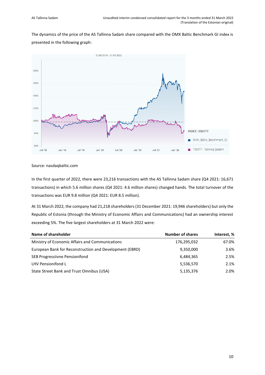The dynamics of the price of the AS Tallinna Sadam share compared with the OMX Baltic Benchmark GI index is presented in the following graph:



Source: nasdaqbaltic.com

In the first quarter of 2022, there were 23,216 transactions with the AS Tallinna Sadam share (Q4 2021: 16,671 transactions) in which 5.6 million shares (Q4 2021: 4.6 million shares) changed hands. The total turnover of the transactions was EUR 9.8 million (Q4 2021: EUR 8.5 million).

At 31 March 2022, the company had 21,218 shareholders (31 December 2021: 19,946 shareholders) but only the Republic of Estonia (through the Ministry of Economic Affairs and Communications) had an ownership interest exceeding 5%. The five largest shareholders at 31 March 2022 were:

| Name of shareholder                                     | <b>Number of shares</b> | Interest, % |
|---------------------------------------------------------|-------------------------|-------------|
| Ministry of Economic Affairs and Communications         | 176,295,032             | 67.0%       |
| European Bank for Reconstruction and Development (EBRD) | 9,350,000               | 3.6%        |
| SEB Progressiivne Pensionifond                          | 6,484,365               | 2.5%        |
| LHV Pensionifond L                                      | 5,536,570               | 2.1%        |
| State Street Bank and Trust Omnibus (USA)               | 5,135,376               | 2.0%        |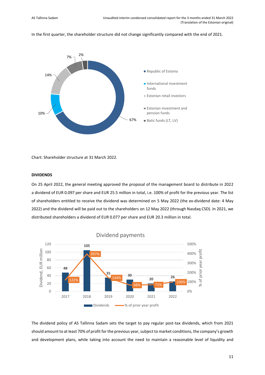In the first quarter, the shareholder structure did not change significantly compared with the end of 2021.



Chart: Shareholder structure at 31 March 2022.

# **DIVIDENDS**

On 25 April 2022, the general meeting approved the proposal of the management board to distribute in 2022 a dividend of EUR 0.097 per share and EUR 25.5 million in total, i.e. 100% of profit for the previous year. The list of shareholders entitled to receive the dividend was determined on 5 May 2022 (the ex-dividend date: 4 May 2022) and the dividend will be paid out to the shareholders on 12 May 2022 (through Nasdaq CSD). In 2021, we distributed shareholders a dividend of EUR 0.077 per share and EUR 20.3 million in total.



The dividend policy of AS Tallinna Sadam sets the target to pay regular post-tax dividends, which from 2021 should amount to at least 70% of profit for the previous year, subject to market conditions, the company's growth and development plans, while taking into account the need to maintain a reasonable level of liquidity and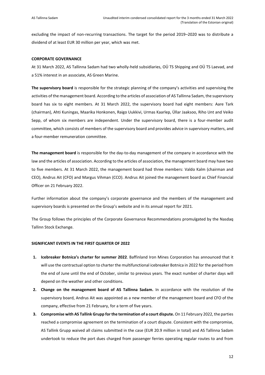excluding the impact of non-recurring transactions. The target for the period 2019–2020 was to distribute a dividend of at least EUR 30 million per year, which was met.

#### **CORPORATE GOVERNANCE**

At 31 March 2022, AS Tallinna Sadam had two wholly-held subsidiaries, OÜ TS Shipping and OÜ TS Laevad, and a 51% interest in an associate, AS Green Marine.

**The supervisory board** is responsible for the strategic planning of the company's activities and supervising the activities of the management board. According to the articles of association of AS Tallinna Sadam, the supervisory board has six to eight members. At 31 March 2022, the supervisory board had eight members: Aare Tark (chairman), Ahti Kuningas, Maarika Honkonen, Raigo Uukkivi, Urmas Kaarlep, Üllar Jaaksoo, Riho Unt and Veiko Sepp, of whom six members are independent. Under the supervisory board, there is a four-member audit committee, which consists of members of the supervisory board and provides advice in supervisory matters, and a four-member remuneration committee.

**The management board** is responsible for the day-to-day management of the company in accordance with the law and the articles of association. According to the articles of association, the management board may have two to five members. At 31 March 2022, the management board had three members: Valdo Kalm (chairman and CEO), Andrus Ait (CFO) and Margus Vihman (CCO). Andrus Ait joined the management board as Chief Financial Officer on 21 February 2022.

Further information about the company's corporate governance and the members of the management and supervisory boards is presented on the Group's website and in its annual report for 2021.

The Group follows the principles of the Corporate Governance Recommendations promulgated by the Nasdaq Tallinn Stock Exchange.

#### **SIGNIFICANT EVENTS IN THE FIRST QUARTER OF 2022**

- **1. Icebreaker Botnica's charter for summer 2022**. Baffinland Iron Mines Corporation has announced that it will use the contractual option to charter the multifunctional icebreaker Botnica in 2022 for the period from the end of June until the end of October, similar to previous years. The exact number of charter days will depend on the weather and other conditions.
- **2. Change on the management board of AS Tallinna Sadam.** In accordance with the resolution of the supervisory board, Andrus Ait was appointed as a new member of the management board and CFO of the company, effective from 21 February, for a term of five years.
- **3. Compromise with AS Tallink Grupp for the termination of a court dispute.** On 11 February 2022, the parties reached a compromise agreement on the termination of a court dispute. Consistent with the compromise, AS Tallink Grupp waived all claims submitted in the case (EUR 20.9 million in total) and AS Tallinna Sadam undertook to reduce the port dues charged from passenger ferries operating regular routes to and from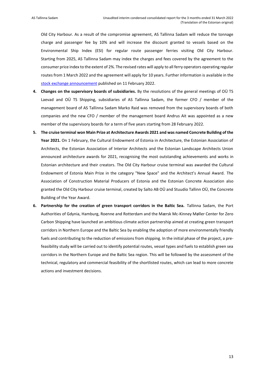Old City Harbour. As a result of the compromise agreement, AS Tallinna Sadam will reduce the tonnage charge and passenger fee by 10% and will increase the discount granted to vessels based on the Environmental Ship Index (ESI) for regular route passenger ferries visiting Old City Harbour. Starting from 2025, AS Tallinna Sadam may index the charges and fees covered by the agreement to the consumer price index to the extent of 2%. The revised rates will apply to all ferry operators operating regular routes from 1 March 2022 and the agreement will apply for 10 years. Further information is available in the [stock exchange announcement](https://view.news.eu.nasdaq.com/view?id=b50befd92811e7c3e6a0e71383e00b410&lang=en) published on 11 February 2022.

- **4. Changes on the supervisory boards of subsidiaries.** By the resolutions of the general meetings of OÜ TS Laevad and OÜ TS Shipping, subsidiaries of AS Tallinna Sadam, the former CFO / member of the management board of AS Tallinna Sadam Marko Raid was removed from the supervisory boards of both companies and the new CFO / member of the management board Andrus Ait was appointed as a new member of the supervisory boards for a term of five years starting from 28 February 2022.
- **5. The cruise terminal won Main Prize at Architecture Awards 2021 and was named Concrete Building of the Year 2021.** On 1 February, the Cultural Endowment of Estonia in Architecture, the Estonian Association of Architects, the Estonian Association of Interior Architects and the Estonian Landscape Architects Union announced architecture awards for 2021, recognising the most outstanding achievements and works in Estonian architecture and their creators. The Old City Harbour cruise terminal was awarded the Cultural Endowment of Estonia Main Prize in the category "New Space" and the Architect's Annual Award. The Association of Construction Material Producers of Estonia and the Estonian Concrete Association also granted the Old City Harbour cruise terminal, created by Salto AB OÜ and Stuudio Tallinn OÜ, the Concrete Building of the Year Award.
- **6. Partnership for the creation of green transport corridors in the Baltic Sea.** Tallinna Sadam, the Port Authorities of Gdynia, Hamburg, Roenne and Rotterdam and the Mærsk Mc-Kinney Møller Center for Zero Carbon Shipping have launched an ambitious climate action partnership aimed at creating green transport corridors in Northern Europe and the Baltic Sea by enabling the adoption of more environmentally friendly fuels and contributing to the reduction of emissions from shipping. In the initial phase of the project, a prefeasibility study will be carried out to identify potential routes, vessel types and fuels to establish green sea corridors in the Northern Europe and the Baltic Sea region. This will be followed by the assessment of the technical, regulatory and commercial feasibility of the shortlisted routes, which can lead to more concrete actions and investment decisions.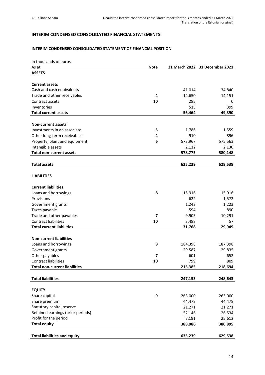# <span id="page-13-0"></span>**INTERIM CONDENSED CONSOLIDATED FINANCIAL STATEMENTS**

# <span id="page-13-1"></span>**INTERIM CONDENSED CONSOLIDATED STATEMENT OF FINANCIAL POSITION**

| In thousands of euros                |             |         |                                |
|--------------------------------------|-------------|---------|--------------------------------|
| As at                                | <b>Note</b> |         | 31 March 2022 31 December 2021 |
| <b>ASSETS</b>                        |             |         |                                |
|                                      |             |         |                                |
| <b>Current assets</b>                |             |         |                                |
| Cash and cash equivalents            |             | 41,014  | 34,840                         |
| Trade and other receivables          | 4           | 14,650  | 14,151                         |
| Contract assets                      | 10          | 285     | 0                              |
| Inventories                          |             | 515     | 399                            |
| <b>Total current assets</b>          |             | 56,464  | 49,390                         |
|                                      |             |         |                                |
| <b>Non-current assets</b>            |             |         |                                |
| Investments in an associate          | 5           | 1,786   | 1,559                          |
| Other long-term receivables          | 4           | 910     | 896                            |
| Property, plant and equipment        | 6           | 573,967 | 575,563                        |
| Intangible assets                    |             | 2,112   | 2,130                          |
| <b>Total non-current assets</b>      |             | 578,775 | 580,148                        |
|                                      |             |         |                                |
| <b>Total assets</b>                  |             | 635,239 | 629,538                        |
|                                      |             |         |                                |
| <b>LIABILITIES</b>                   |             |         |                                |
|                                      |             |         |                                |
| <b>Current liabilities</b>           |             |         |                                |
| Loans and borrowings                 | 8           | 15,916  | 15,916                         |
| Provisions                           |             | 622     | 1,572                          |
| Government grants                    |             | 1,243   | 1,223                          |
| Taxes payable                        |             | 594     | 890                            |
| Trade and other payables             | 7           | 9,905   | 10,291                         |
| <b>Contract liabilities</b>          | 10          | 3,488   | 57                             |
| <b>Total current liabilities</b>     |             | 31,768  | 29,949                         |
|                                      |             |         |                                |
| <b>Non-current liabilities</b>       |             |         |                                |
| Loans and borrowings                 | 8           | 184,398 | 187,398                        |
| Government grants                    |             | 29,587  | 29,835                         |
| Other payables                       | 7           | 601     | 652                            |
| Contract liabilities                 | 10          | 799     | 809                            |
| <b>Total non-current liabilities</b> |             | 215,385 | 218,694                        |
|                                      |             |         |                                |
| <b>Total liabilities</b>             |             | 247,153 | 248,643                        |
|                                      |             |         |                                |
| <b>EQUITY</b>                        |             |         |                                |
| Share capital                        | 9           | 263,000 | 263,000                        |
| Share premium                        |             | 44,478  | 44,478                         |
| Statutory capital reserve            |             | 21,271  | 21,271                         |
| Retained earnings (prior periods)    |             | 52,146  | 26,534                         |
| Profit for the period                |             | 7,191   | 25,612                         |
| <b>Total equity</b>                  |             | 388,086 | 380,895                        |
|                                      |             |         |                                |
| <b>Total liabilities and equity</b>  |             | 635,239 | 629,538                        |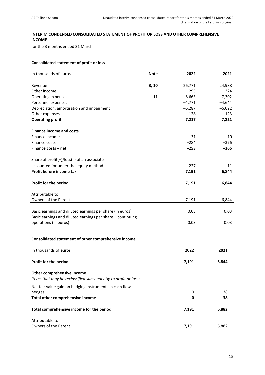# <span id="page-14-0"></span>**INTERIM CONDENSED CONSOLIDATED STATEMENT OF PROFIT OR LOSS AND OTHER COMPREHENSIVE INCOME**

for the 3 months ended 31 March

# **Consolidated statement of profit or loss**

| In thousands of euros                                          | <b>Note</b> | 2022     | 2021     |
|----------------------------------------------------------------|-------------|----------|----------|
|                                                                |             |          |          |
| Revenue                                                        | 3, 10       | 26,771   | 24,988   |
| Other income                                                   |             | 295      | 324      |
| Operating expenses                                             | 11          | $-8,663$ | $-7,302$ |
| Personnel expenses                                             |             | $-4,771$ | $-4,644$ |
| Depreciation, amortisation and impairment                      |             | $-6,287$ | $-6,022$ |
| Other expenses                                                 |             | $-128$   | $-123$   |
| <b>Operating profit</b>                                        |             | 7,217    | 7,221    |
|                                                                |             |          |          |
| <b>Finance income and costs</b>                                |             |          |          |
| Finance income                                                 |             | 31       | 10       |
| Finance costs                                                  |             | $-284$   | $-376$   |
| Finance costs - net                                            |             | $-253$   | $-366$   |
|                                                                |             |          |          |
| Share of $profit(+)/loss(-)$ of an associate                   |             |          |          |
| accounted for under the equity method                          |             | 227      | $-11$    |
| Profit before income tax                                       |             | 7,191    | 6,844    |
|                                                                |             |          |          |
| Profit for the period                                          |             | 7,191    | 6,844    |
|                                                                |             |          |          |
| Attributable to:                                               |             |          |          |
| Owners of the Parent                                           |             | 7,191    | 6,844    |
|                                                                |             |          |          |
| Basic earnings and diluted earnings per share (in euros)       |             | 0.03     | 0.03     |
| Basic earnings and diluted earnings per share - continuing     |             |          |          |
| operations (in euros)                                          |             | 0.03     | 0.03     |
|                                                                |             |          |          |
| Consolidated statement of other comprehensive income           |             |          |          |
|                                                                |             |          |          |
| In thousands of euros                                          |             | 2022     | 2021     |
|                                                                |             |          |          |
| Profit for the period                                          |             | 7,191    | 6,844    |
|                                                                |             |          |          |
| Other comprehensive income                                     |             |          |          |
| Items that may be reclassified subsequently to profit or loss: |             |          |          |
| Net fair value gain on hedging instruments in cash flow        |             |          |          |
| hedges                                                         |             | 0        | 38       |
| Total other comprehensive income                               |             | 0        | 38       |
|                                                                |             |          |          |
| Total comprehensive income for the period                      |             | 7,191    | 6,882    |
|                                                                |             |          |          |
| Attributable to:                                               |             |          |          |
| Owners of the Parent                                           |             | 7,191    | 6,882    |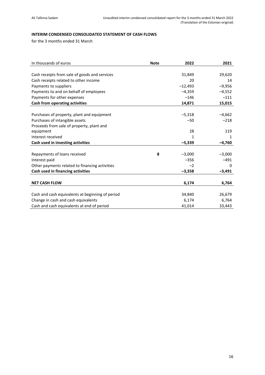# <span id="page-15-0"></span>**INTERIM CONDENSED CONSOLIDATED STATEMENT OF CASH FLOWS**

for the 3 months ended 31 March

| In thousands of euros                            | <b>Note</b> | 2022      | 2021     |
|--------------------------------------------------|-------------|-----------|----------|
|                                                  |             |           |          |
| Cash receipts from sale of goods and services    |             | 31,849    | 29,620   |
| Cash receipts related to other income            |             | 20        | 14       |
| Payments to suppliers                            |             | $-12,493$ | $-9,956$ |
| Payments to and on behalf of employees           |             | $-4,359$  | $-4,552$ |
| Payments for other expenses                      |             | $-146$    | $-111$   |
| Cash from operating activities                   |             | 14,871    | 15,015   |
|                                                  |             |           |          |
| Purchases of property, plant and equipment       |             | $-5,318$  | $-4,662$ |
| Purchases of intangible assets                   |             | $-50$     | $-218$   |
| Proceeds from sale of property, plant and        |             |           |          |
| equipment                                        |             | 28        | 119      |
| Interest received                                |             | 1         | 1        |
| Cash used in investing activities                |             | $-5,339$  | $-4,760$ |
|                                                  |             |           |          |
| Repayments of loans received                     | 8           | $-3,000$  | $-3,000$ |
| Interest paid                                    |             | $-356$    | $-491$   |
| Other payments related to financing activities   |             | $-2$      | 0        |
| Cash used in financing activities                |             | $-3,358$  | $-3,491$ |
|                                                  |             |           |          |
| <b>NET CASH FLOW</b>                             |             | 6,174     | 6,764    |
|                                                  |             |           |          |
| Cash and cash equivalents at beginning of period |             | 34,840    | 26,679   |
| Change in cash and cash equivalents              |             | 6,174     | 6,764    |
| Cash and cash equivalents at end of period       |             | 41,014    | 33,443   |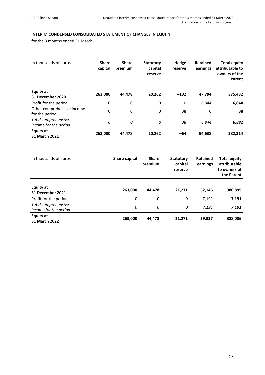# <span id="page-16-0"></span>**INTERIM CONDENSED CONSOLIDATED STATEMENT OF CHANGES IN EQUITY**

for the 3 months ended 31 March

| In thousands of euros                        | <b>Share</b><br>capital | <b>Share</b><br>premium | <b>Statutory</b><br>capital<br>reserve | Hedge<br>reserve | Retained<br>earnings | <b>Total equity</b><br>attributable to<br>owners of the<br>Parent |
|----------------------------------------------|-------------------------|-------------------------|----------------------------------------|------------------|----------------------|-------------------------------------------------------------------|
| <b>Equity at</b><br>31 December 2020         | 263,000                 | 44,478                  | 20,262                                 | $-102$           | 47,794               | 375,432                                                           |
| Profit for the period                        | 0                       | 0                       | 0                                      | 0                | 6,844                | 6,844                                                             |
| Other comprehensive income<br>for the period | 0                       | 0                       | 0                                      | 38               | 0                    | 38                                                                |
| Total comprehensive<br>income for the period | 0                       | 0                       | 0                                      | 38               | 6.844                | 6,882                                                             |
| Equity at<br>31 March 2021                   | 263,000                 | 44,478                  | 20,262                                 | -64              | 54,638               | 382,314                                                           |

| In thousands of euros                        | Share capital | <b>Share</b><br>premium | <b>Statutory</b><br>capital<br>reserve | <b>Retained</b><br>earnings | <b>Total equity</b><br>attributable<br>to owners of<br>the Parent |
|----------------------------------------------|---------------|-------------------------|----------------------------------------|-----------------------------|-------------------------------------------------------------------|
| Equity at<br>31 December 2021                | 263,000       | 44.478                  | 21.271                                 | 52,146                      | 380,895                                                           |
| Profit for the period                        | 0             | $\Omega$                | 0                                      | 7,191                       | 7,191                                                             |
| Total comprehensive<br>income for the period | 0             | 0                       | 0                                      | 7.191                       | 7,191                                                             |
| <b>Equity at</b><br>31 March 2022            | 263,000       | 44,478                  | 21,271                                 | 59,337                      | 388,086                                                           |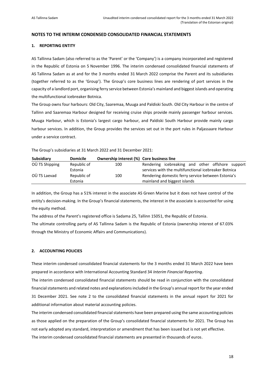# <span id="page-17-0"></span>**NOTES TO THE INTERIM CONDENSED CONSOLIDATED FINANCIAL STATEMENTS**

# <span id="page-17-1"></span>**1. REPORTING ENTITY**

AS Tallinna Sadam (also referred to as the 'Parent' or the 'Company') is a company incorporated and registered in the Republic of Estonia on 5 November 1996. The interim condensed consolidated financial statements of AS Tallinna Sadam as at and for the 3 months ended 31 March 2022 comprise the Parent and its subsidiaries (together referred to as the 'Group'). The Group's core business lines are rendering of port services in the capacity of a landlord port, organising ferry service between Estonia's mainland and biggest islands and operating the multifunctional icebreaker Botnica.

The Group owns four harbours: Old City, Saaremaa, Muuga and Paldiski South. Old City Harbour in the centre of Tallinn and Saaremaa Harbour designed for receiving cruise ships provide mainly passenger harbour services. Muuga Harbour, which is Estonia's largest cargo harbour, and Paldiski South Harbour provide mainly cargo harbour services. In addition, the Group provides the services set out in the port rules in Paljassaare Harbour under a service contract.

The Group's subsidiaries at 31 March 2022 and 31 December 2021:

| Subsidiary     | <b>Domicile</b> | Ownership interest (%) Core business line |                                                      |
|----------------|-----------------|-------------------------------------------|------------------------------------------------------|
| OÜ TS Shipping | Republic of     | 100                                       | Rendering icebreaking and other offshore support     |
|                | Estonia         |                                           | services with the multifunctional icebreaker Botnica |
| OÜ TS Laevad   | Republic of     | 100                                       | Rendering domestic ferry service between Estonia's   |
|                | Estonia         |                                           | mainland and biggest islands                         |

In addition, the Group has a 51% interest in the associate AS Green Marine but it does not have control of the entity's decision-making. In the Group's financial statements, the interest in the associate is accounted for using the equity method.

The address of the Parent's registered office is Sadama 25, Tallinn 15051, the Republic of Estonia. The ultimate controlling party of AS Tallinna Sadam is the Republic of Estonia (ownership interest of 67.03% through the Ministry of Economic Affairs and Communications).

# <span id="page-17-2"></span>**2. ACCOUNTING POLICIES**

These interim condensed consolidated financial statements for the 3 months ended 31 March 2022 have been prepared in accordance with International Accounting Standard 34 *Interim Financial Reporting*.

The interim condensed consolidated financial statements should be read in conjunction with the consolidated financial statements and related notes and explanations included in the Group's annual report for the year ended 31 December 2021. See note 2 to the consolidated financial statements in the annual report for 2021 for additional information about material accounting policies.

The interim condensed consolidated financial statements have been prepared using the same accounting policies as those applied on the preparation of the Group's consolidated financial statements for 2021. The Group has not early adopted any standard, interpretation or amendment that has been issued but is not yet effective. The interim condensed consolidated financial statements are presented in thousands of euros.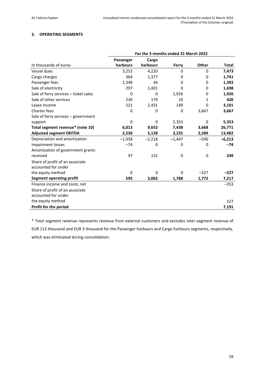# <span id="page-18-0"></span>**3. OPERATING SEGMENTS**

|                                       | For the 3 months ended 31 March 2022 |          |          |        |              |
|---------------------------------------|--------------------------------------|----------|----------|--------|--------------|
|                                       | Passenger                            | Cargo    |          |        |              |
| In thousands of euros                 | harbours                             | harbours | Ferry    | Other  | <b>Total</b> |
| Vessel dues                           | 3,253                                | 4,220    | 0        | 0      | 7,473        |
| Cargo charges                         | 364                                  | 1,377    | 0        | 0      | 1,741        |
| Passenger fees                        | 1,348                                | 44       | 0        | 0      | 1,392        |
| Sale of electricity                   | 297                                  | 1,401    | 0        | 0      | 1,698        |
| Sale of ferry services - ticket sales | 0                                    | 0        | 1,926    | 0      | 1,926        |
| Sale of other services                | 230                                  | 179      | 10       | 1      | 420          |
| Lease income                          | 521                                  | 2,431    | 149      | 0      | 3,101        |
| Charter fees                          | 0                                    | 0        | 0        | 3,667  | 3,667        |
| Sale of ferry services - government   |                                      |          |          |        |              |
| support                               | 0                                    | 0        | 5,353    | 0      | 5,353        |
| Total segment revenue* (note 10)      | 6,013                                | 9,652    | 7,438    | 3,668  | 26,771       |
| <b>Adjusted segment EBITDA</b>        | 2,530                                | 5,128    | 3,235    | 2,589  | 13,482       |
| Depreciation and amortisation         | $-1,958$                             | $-2,218$ | $-1,447$ | $-590$ | $-6,213$     |
| <b>Impairment losses</b>              | $-74$                                | 0        | 0        | 0      | $-74$        |
| Amortisation of government grants     |                                      |          |          |        |              |
| received                              | 97                                   | 152      | 0        | 0      | 249          |
| Share of profit of an associate       |                                      |          |          |        |              |
| accounted for under                   |                                      |          |          |        |              |
| the equity method                     | $\Omega$                             | $\Omega$ | 0        | $-227$ | $-227$       |
| <b>Segment operating profit</b>       | 595                                  | 3,062    | 1,788    | 1,772  | 7,217        |
| Finance income and costs, net         |                                      |          |          |        | $-253$       |
| Share of profit of an associate       |                                      |          |          |        |              |
| accounted for under                   |                                      |          |          |        |              |
| the equity method                     |                                      |          |          |        | 227          |
| Profit for the period                 |                                      |          |          |        | 7,191        |

\* Total segment revenue represents revenue from external customers and excludes inter-segment revenue of EUR 113 thousand and EUR 3 thousand for the Passenger harbours and Cargo harbours segments, respectively, which was eliminated during consolidation.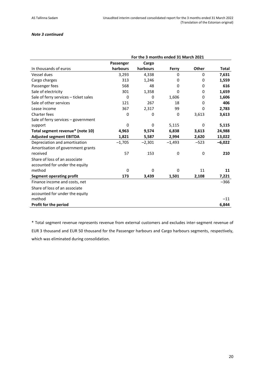# *Note 3 continued*

|                                       | For the 3 months ended 31 March 2021 |          |          |        |              |
|---------------------------------------|--------------------------------------|----------|----------|--------|--------------|
|                                       | Passenger                            | Cargo    |          |        |              |
| In thousands of euros                 | harbours                             | harbours | Ferry    | Other  | <b>Total</b> |
| Vessel dues                           | 3,293                                | 4,338    | 0        | 0      | 7,631        |
| Cargo charges                         | 313                                  | 1,246    | 0        | 0      | 1,559        |
| Passenger fees                        | 568                                  | 48       | 0        | 0      | 616          |
| Sale of electricity                   | 301                                  | 1,358    | 0        | 0      | 1,659        |
| Sale of ferry services - ticket sales | 0                                    | 0        | 1,606    | 0      | 1,606        |
| Sale of other services                | 121                                  | 267      | 18       | 0      | 406          |
| Lease income                          | 367                                  | 2,317    | 99       | 0      | 2,783        |
| Charter fees                          | 0                                    | 0        | 0        | 3,613  | 3,613        |
| Sale of ferry services - government   |                                      |          |          |        |              |
| support                               | $\Omega$                             | $\Omega$ | 5,115    | 0      | 5,115        |
| Total segment revenue* (note 10)      | 4,963                                | 9,574    | 6,838    | 3,613  | 24,988       |
| <b>Adjusted segment EBITDA</b>        | 1,821                                | 5,587    | 2,994    | 2,620  | 13,022       |
| Depreciation and amortisation         | $-1,705$                             | $-2,301$ | $-1,493$ | $-523$ | $-6,022$     |
| Amortisation of government grants     |                                      |          |          |        |              |
| received                              | 57                                   | 153      | 0        | 0      | 210          |
| Share of loss of an associate         |                                      |          |          |        |              |
| accounted for under the equity        |                                      |          |          |        |              |
| method                                | 0                                    | 0        | 0        | 11     | 11           |
| <b>Segment operating profit</b>       | 173                                  | 3,439    | 1,501    | 2,108  | 7,221        |
| Finance income and costs, net         |                                      |          |          |        | $-366$       |
| Share of loss of an associate         |                                      |          |          |        |              |
| accounted for under the equity        |                                      |          |          |        |              |
| method                                |                                      |          |          |        | $-11$        |
| Profit for the period                 |                                      |          |          |        | 6,844        |

\* Total segment revenue represents revenue from external customers and excludes inter-segment revenue of EUR 3 thousand and EUR 50 thousand for the Passenger harbours and Cargo harbours segments, respectively, which was eliminated during consolidation.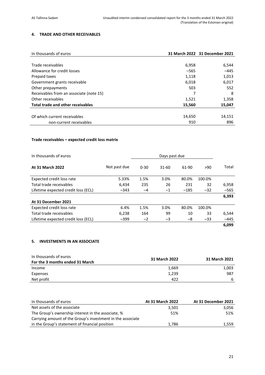# <span id="page-20-0"></span>**4. TRADE AND OTHER RECEIVABLES**

| In thousands of euros                    |        | 31 March 2022 31 December 2021 |
|------------------------------------------|--------|--------------------------------|
|                                          |        |                                |
| Trade receivables                        | 6,958  | 6,544                          |
| Allowance for credit losses              | $-565$ | $-445$                         |
| Prepaid taxes                            | 1,118  | 1,013                          |
| Government grants receivable             | 6,018  | 6,017                          |
| Other prepayments                        | 503    | 552                            |
| Receivables from an associate (note 15)  |        | 8                              |
| Other receivables                        | 1,521  | 1,358                          |
| <b>Total trade and other receivables</b> | 15,560 | 15,047                         |
|                                          |        |                                |
| Of which current receivables             | 14,650 | 14,151                         |
| non-current receivables                  | 910    | 896                            |

# **Trade receivables – expected credit loss matrix**

| In thousands of euros               |              |          | Days past due |        |        |        |
|-------------------------------------|--------------|----------|---------------|--------|--------|--------|
| <b>At 31 March 2022</b>             | Not past due | $0 - 30$ | $31-60$       | 61-90  | >90    | Total  |
| Expected credit loss rate           | 5.33%        | 1.5%     | 3.0%          | 80.0%  | 100.0% |        |
| Total trade receivables             | 6,434        | 235      | 26            | 231    | 32     | 6,958  |
| Lifetime expected credit loss (ECL) | $-343$       | $-4$     | $-1$          | $-185$ | $-32$  | $-565$ |
|                                     |              |          |               |        |        | 6,393  |
| At 31 December 2021                 |              |          |               |        |        |        |
| Expected credit loss rate           | 6.4%         | 1.5%     | 3.0%          | 80.0%  | 100.0% |        |
| Total trade receivables             | 6,238        | 164      | 99            | 10     | 33     | 6,544  |
| Lifetime expected credit loss (ECL) | $-399$       | $-2$     | -3            | -8     | $-33$  | $-445$ |
|                                     |              |          |               |        |        | 6,099  |

# <span id="page-20-1"></span>**5. INVESTMENTS IN AN ASSOCIATE**

| In thousands of euros           | 31 March 2022 | 31 March 2021 |  |  |
|---------------------------------|---------------|---------------|--|--|
| For the 3 months ended 31 March |               |               |  |  |
| Income                          | 1,669         | 1,003         |  |  |
| Expenses                        | 1,239         | 987           |  |  |
| Net profit                      | 422           | -6            |  |  |

| In thousands of euros                                      | At 31 March 2022 | At 31 December 2021 |
|------------------------------------------------------------|------------------|---------------------|
| Net assets of the associate                                | 3,501            | 3.056               |
| The Group's ownership interest in the associate, %         | 51%              | 51%                 |
| Carrying amount of the Group's investment in the associate |                  |                     |
| in the Group's statement of financial position             | 1.786            | 1,559               |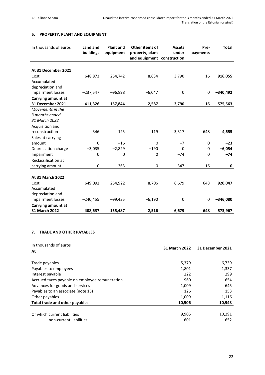# <span id="page-21-0"></span>**6. PROPERTY, PLANT AND EQUIPMENT**

| In thousands of euros | Land and<br>buildings | <b>Plant and</b><br>equipment | Other items of<br>property, plant<br>and equipment construction | <b>Assets</b><br>under | Pre-<br>payments | <b>Total</b> |
|-----------------------|-----------------------|-------------------------------|-----------------------------------------------------------------|------------------------|------------------|--------------|
|                       |                       |                               |                                                                 |                        |                  |              |
| At 31 December 2021   |                       |                               |                                                                 |                        |                  |              |
| Cost                  | 648,873               | 254,742                       | 8,634                                                           | 3,790                  | 16               | 916,055      |
| Accumulated           |                       |                               |                                                                 |                        |                  |              |
| depreciation and      |                       |                               |                                                                 |                        |                  |              |
| impairment losses     | $-237,547$            | $-96,898$                     | $-6,047$                                                        | 0                      | $\pmb{0}$        | $-340,492$   |
| Carrying amount at    |                       |                               |                                                                 |                        |                  |              |
| 31 December 2021      | 411,326               | 157,844                       | 2,587                                                           | 3,790                  | 16               | 575,563      |
| Movements in the      |                       |                               |                                                                 |                        |                  |              |
| 3 months ended        |                       |                               |                                                                 |                        |                  |              |
| 31 March 2022         |                       |                               |                                                                 |                        |                  |              |
| Acquisition and       |                       |                               |                                                                 |                        |                  |              |
| reconstruction        | 346                   | 125                           | 119                                                             | 3,317                  | 648              | 4,555        |
| Sales at carrying     |                       |                               |                                                                 |                        |                  |              |
| amount                | 0                     | $-16$                         | 0                                                               | $-7$                   | 0                | $-23$        |
| Depreciation charge   | $-3,035$              | $-2,829$                      | $-190$                                                          | $\Omega$               | 0                | $-6,054$     |
| Impairment            | 0                     | $\mathbf 0$                   | 0                                                               | $-74$                  | $\Omega$         | $-74$        |
| Reclassification at   |                       |                               |                                                                 |                        |                  |              |
| carrying amount       | 0                     | 363                           | 0                                                               | $-347$                 | $-16$            | 0            |
|                       |                       |                               |                                                                 |                        |                  |              |
| At 31 March 2022      |                       |                               |                                                                 |                        |                  |              |
| Cost                  | 649,092               | 254,922                       | 8,706                                                           | 6,679                  | 648              | 920,047      |
| Accumulated           |                       |                               |                                                                 |                        |                  |              |
| depreciation and      |                       |                               |                                                                 |                        |                  |              |
| impairment losses     | $-240,455$            | $-99,435$                     | $-6,190$                                                        | 0                      | 0                | $-346,080$   |
| Carrying amount at    |                       |                               |                                                                 |                        |                  |              |
| 31 March 2022         | 408,637               | 155,487                       | 2,516                                                           | 6,679                  | 648              | 573,967      |

# <span id="page-21-1"></span>**7. TRADE AND OTHER PAYABLES**

| In thousands of euros                          | 31 March 2022 | 31 December 2021 |
|------------------------------------------------|---------------|------------------|
| At                                             |               |                  |
|                                                |               |                  |
| Trade payables                                 | 5,379         | 6,739            |
| Payables to employees                          | 1,801         | 1,337            |
| Interest payable                               | 222           | 299              |
| Accrued taxes payable on employee remuneration | 960           | 654              |
| Advances for goods and services                | 1,009         | 645              |
| Payables to an associate (note 15)             | 126           | 153              |
| Other payables                                 | 1,009         | 1,116            |
| Total trade and other payables                 | 10,506        | 10,943           |
|                                                |               |                  |
| Of which current liabilities                   | 9,905         | 10,291           |
| non-current liabilities                        | 601           | 652              |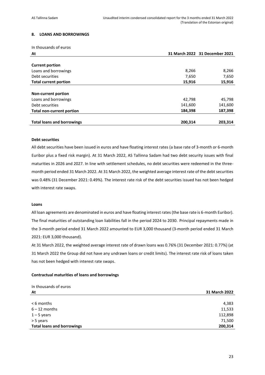# <span id="page-22-0"></span>**8. LOANS AND BORROWINGS**

In thousands of euros

| At                                |         | 31 March 2022 31 December 2021 |
|-----------------------------------|---------|--------------------------------|
|                                   |         |                                |
| <b>Current portion</b>            |         |                                |
| Loans and borrowings              | 8,266   | 8,266                          |
| Debt securities                   | 7,650   | 7,650                          |
| <b>Total current portion</b>      | 15,916  | 15,916                         |
|                                   |         |                                |
| <b>Non-current portion</b>        |         |                                |
| Loans and borrowings              | 42,798  | 45,798                         |
| Debt securities                   | 141,600 | 141,600                        |
| <b>Total non-current portion</b>  | 184,398 | 187,398                        |
|                                   |         |                                |
| <b>Total loans and borrowings</b> | 200,314 | 203,314                        |

# **Debt securities**

All debt securities have been issued in euros and have floating interest rates (a base rate of 3-month or 6-month Euribor plus a fixed risk margin). At 31 March 2022, AS Tallinna Sadam had two debt security issues with final maturities in 2026 and 2027. In line with settlement schedules, no debt securities were redeemed in the threemonth period ended 31 March 2022. At 31 March 2022, the weighted average interest rate of the debt securities was 0.48% (31 December 2021: 0.49%). The interest rate risk of the debt securities issued has not been hedged with interest rate swaps.

#### **Loans**

All loan agreements are denominated in euros and have floating interest rates (the base rate is 6-month Euribor). The final maturities of outstanding loan liabilities fall in the period 2024 to 2030. Principal repayments made in the 3-month period ended 31 March 2022 amounted to EUR 3,000 thousand (3-month period ended 31 March 2021: EUR 3,000 thousand).

At 31 March 2022, the weighted average interest rate of drawn loans was 0.76% (31 December 2021: 0.77%) (at 31 March 2022 the Group did not have any undrawn loans or credit limits). The interest rate risk of loans taken has not been hedged with interest rate swaps.

## **Contractual maturities of loans and borrowings**

| In thousands of euros             |               |
|-----------------------------------|---------------|
| At                                | 31 March 2022 |
|                                   |               |
| $< 6$ months                      | 4,383         |
| $6 - 12$ months                   | 11,533        |
| $1 - 5$ years                     | 112,898       |
| > 5 years                         | 71,500        |
| <b>Total loans and borrowings</b> | 200,314       |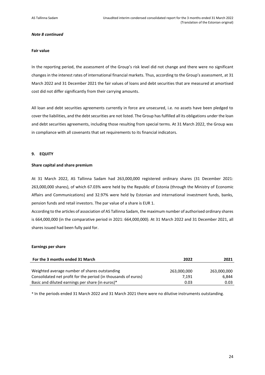#### *Note 8 continued*

#### **Fair value**

In the reporting period, the assessment of the Group's risk level did not change and there were no significant changes in the interest rates of international financial markets. Thus, according to the Group's assessment, at 31 March 2022 and 31 December 2021 the fair values of loans and debt securities that are measured at amortised cost did not differ significantly from their carrying amounts.

All loan and debt securities agreements currently in force are unsecured, i.e. no assets have been pledged to cover the liabilities, and the debt securities are not listed. The Group has fulfilled all its obligations under the loan and debt securities agreements, including those resulting from special terms. At 31 March 2022, the Group was in compliance with all covenants that set requirements to its financial indicators.

## <span id="page-23-0"></span>**9. EQUITY**

#### **Share capital and share premium**

At 31 March 2022, AS Tallinna Sadam had 263,000,000 registered ordinary shares (31 December 2021: 263,000,000 shares), of which 67.03% were held by the Republic of Estonia (through the Ministry of Economic Affairs and Communications) and 32.97% were held by Estonian and international investment funds, banks, pension funds and retail investors. The par value of a share is EUR 1.

According to the articles of association of AS Tallinna Sadam, the maximum number of authorised ordinary shares is 664,000,000 (in the comparative period in 2021: 664,000,000). At 31 March 2022 and 31 December 2021, all shares issued had been fully paid for.

#### **Earnings per share**

| For the 3 months ended 31 March                                | 2022        | 2021        |
|----------------------------------------------------------------|-------------|-------------|
|                                                                |             |             |
| Weighted average number of shares outstanding                  | 263.000.000 | 263,000,000 |
| Consolidated net profit for the period (in thousands of euros) | 7.191       | 6.844       |
| Basic and diluted earnings per share (in euros)*               | 0.03        | 0.03        |

\* In the periods ended 31 March 2022 and 31 March 2021 there were no dilutive instruments outstanding.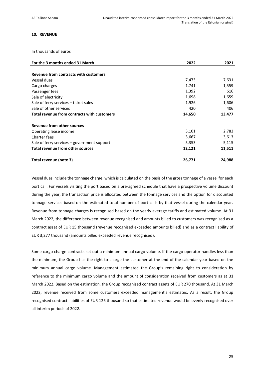## <span id="page-24-0"></span>**10. REVENUE**

In thousands of euros

| For the 3 months ended 31 March             | 2022   | 2021   |
|---------------------------------------------|--------|--------|
|                                             |        |        |
| Revenue from contracts with customers       |        |        |
| Vessel dues                                 | 7,473  | 7,631  |
| Cargo charges                               | 1,741  | 1,559  |
| Passenger fees                              | 1,392  | 616    |
| Sale of electricity                         | 1,698  | 1,659  |
| Sale of ferry services – ticket sales       | 1,926  | 1,606  |
| Sale of other services                      | 420    | 406    |
| Total revenue from contracts with customers | 14,650 | 13,477 |
|                                             |        |        |
| <b>Revenue from other sources</b>           |        |        |
| Operating lease income                      | 3,101  | 2,783  |
| Charter fees                                | 3,667  | 3,613  |
| Sale of ferry services – government support | 5,353  | 5,115  |
| <b>Total revenue from other sources</b>     | 12,121 | 11,511 |
| Total revenue (note 3)                      | 26,771 | 24,988 |

Vessel dues include the tonnage charge, which is calculated on the basis of the gross tonnage of a vessel for each port call. For vessels visiting the port based on a pre-agreed schedule that have a prospective volume discount during the year, the transaction price is allocated between the tonnage services and the option for discounted tonnage services based on the estimated total number of port calls by that vessel during the calendar year. Revenue from tonnage charges is recognised based on the yearly average tariffs and estimated volume. At 31 March 2022, the difference between revenue recognised and amounts billed to customers was recognised as a contract asset of EUR 15 thousand (revenue recognised exceeded amounts billed) and as a contract liability of EUR 3,277 thousand (amounts billed exceeded revenue recognised).

Some cargo charge contracts set out a minimum annual cargo volume. If the cargo operator handles less than the minimum, the Group has the right to charge the customer at the end of the calendar year based on the minimum annual cargo volume. Management estimated the Group's remaining right to consideration by reference to the minimum cargo volume and the amount of consideration received from customers as at 31 March 2022. Based on the estimation, the Group recognised contract assets of EUR 270 thousand. At 31 March 2022, revenue received from some customers exceeded management's estimates. As a result, the Group recognised contract liabilities of EUR 126 thousand so that estimated revenue would be evenly recognised over all interim periods of 2022.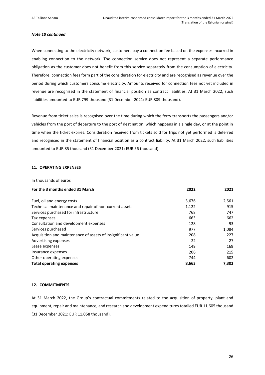#### *Note 10 continued*

When connecting to the electricity network, customers pay a connection fee based on the expenses incurred in enabling connection to the network. The connection service does not represent a separate performance obligation as the customer does not benefit from this service separately from the consumption of electricity. Therefore, connection fees form part of the consideration for electricity and are recognised as revenue over the period during which customers consume electricity. Amounts received for connection fees not yet included in revenue are recognised in the statement of financial position as contract liabilities. At 31 March 2022, such liabilities amounted to EUR 799 thousand (31 December 2021: EUR 809 thousand).

Revenue from ticket sales is recognised over the time during which the ferry transports the passengers and/or vehicles from the port of departure to the port of destination, which happens in a single day, or at the point in time when the ticket expires. Consideration received from tickets sold for trips not yet performed is deferred and recognised in the statement of financial position as a contract liability. At 31 March 2022, such liabilities amounted to EUR 85 thousand (31 December 2021: EUR 56 thousand).

# <span id="page-25-0"></span>**11. OPERATING EXPENSES**

#### In thousands of euros

| For the 3 months ended 31 March                              | 2022  | 2021  |
|--------------------------------------------------------------|-------|-------|
|                                                              |       |       |
| Fuel, oil and energy costs                                   | 3,676 | 2,561 |
| Technical maintenance and repair of non-current assets       | 1,122 | 915   |
| Services purchased for infrastructure                        | 768   | 747   |
| Tax expenses                                                 | 663   | 662   |
| Consultation and development expenses                        | 128   | 93    |
| Services purchased                                           | 977   | 1,084 |
| Acquisition and maintenance of assets of insignificant value | 208   | 227   |
| Advertising expenses                                         | 22    | 27    |
| Lease expenses                                               | 149   | 169   |
| Insurance expenses                                           | 206   | 215   |
| Other operating expenses                                     | 744   | 602   |
| <b>Total operating expenses</b>                              | 8,663 | 7,302 |

# <span id="page-25-1"></span>**12. COMMITMENTS**

At 31 March 2022, the Group's contractual commitments related to the acquisition of property, plant and equipment, repair and maintenance, and research and development expenditures totalled EUR 11,605 thousand (31 December 2021: EUR 11,058 thousand).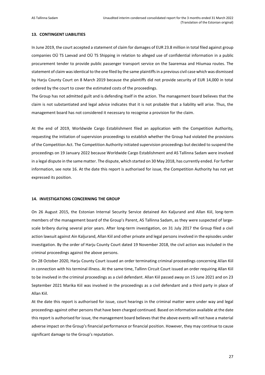#### <span id="page-26-0"></span>**13. CONTINGENT LIABILITIES**

In June 2019, the court accepted a statement of claim for damages of EUR 23.8 million in total filed against group companies OÜ TS Laevad and OÜ TS Shipping in relation to alleged use of confidential information in a public procurement tender to provide public passenger transport service on the Saaremaa and Hiiumaa routes. The statement of claim wasidentical to the one filed by the same plaintiffs in a previous civil case which was dismissed by Harju County Court on 8 March 2019 because the plaintiffs did not provide security of EUR 14,000 in total ordered by the court to cover the estimated costs of the proceedings.

The Group has not admitted guilt and is defending itself in the action. The management board believes that the claim is not substantiated and legal advice indicates that it is not probable that a liability will arise. Thus, the management board has not considered it necessary to recognise a provision for the claim.

At the end of 2019, Worldwide Cargo Establishment filed an application with the Competition Authority, requesting the initiation of supervision proceedings to establish whether the Group had violated the provisions of the Competition Act. The Competition Authority initiated supervision proceedings but decided to suspend the proceedings on 19 January 2022 because Worldwide Cargo Establishment and AS Tallinna Sadam were involved in a legal dispute in the same matter. The dispute, which started on 30 May 2018, has currently ended. For further information, see note 16. At the date this report is authorised for issue, the Competition Authority has not yet expressed its position.

#### <span id="page-26-1"></span>**14. INVESTIGATIONS CONCERNING THE GROUP**

On 26 August 2015, the Estonian Internal Security Service detained Ain Kaljurand and Allan Kiil, long-term members of the management board of the Group's Parent, AS Tallinna Sadam, as they were suspected of largescale bribery during several prior years. After long-term investigation, on 31 July 2017 the Group filed a civil action lawsuit against Ain Kaljurand, Allan Kiil and other private and legal persons involved in the episodes under investigation. By the order of Harju County Court dated 19 November 2018, the civil action was included in the criminal proceedings against the above persons.

On 28 October 2020, Harju County Court issued an order terminating criminal proceedings concerning Allan Kiil in connection with his terminal illness. At the same time, Tallinn Circuit Court issued an order requiring Allan Kiil to be involved in the criminal proceedings as a civil defendant. Allan Kiil passed away on 15 June 2021 and on 23 September 2021 Marika Kiil was involved in the proceedings as a civil defendant and a third party in place of Allan Kiil.

At the date this report is authorised for issue, court hearings in the criminal matter were under way and legal proceedings against other persons that have been charged continued. Based on information available at the date this report is authorised for issue, the management board believes that the above events will not have a material adverse impact on the Group's financial performance or financial position. However, they may continue to cause significant damage to the Group's reputation.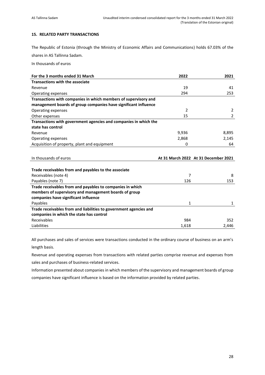# <span id="page-27-0"></span>**15. RELATED PARTY TRANSACTIONS**

The Republic of Estonia (through the Ministry of Economic Affairs and Communications) holds 67.03% of the shares in AS Tallinna Sadam.

In thousands of euros

| For the 3 months ended 31 March                                   | 2022  | 2021                                 |
|-------------------------------------------------------------------|-------|--------------------------------------|
| <b>Transactions with the associate</b>                            |       |                                      |
| Revenue                                                           | 19    | 41                                   |
| Operating expenses                                                | 294   | 253                                  |
| Transactions with companies in which members of supervisory and   |       |                                      |
| management boards of group companies have significant influence   |       |                                      |
| Operating expenses                                                | 2     | 2                                    |
| Other expenses                                                    | 15    | $\overline{2}$                       |
| Transactions with government agencies and companies in which the  |       |                                      |
| state has control                                                 |       |                                      |
| Revenue                                                           | 9,936 | 8,895                                |
| Operating expenses                                                | 2,868 | 2,145                                |
| Acquisition of property, plant and equipment                      | 0     | 64                                   |
|                                                                   |       |                                      |
|                                                                   |       |                                      |
| In thousands of euros                                             |       | At 31 March 2022 At 31 December 2021 |
|                                                                   |       |                                      |
| Trade receivables from and payables to the associate              |       |                                      |
| Receivables (note 4)                                              | 7     | 8                                    |
| Payables (note 7)                                                 | 126   | 153                                  |
| Trade receivables from and payables to companies in which         |       |                                      |
| members of supervisory and management boards of group             |       |                                      |
| companies have significant influence                              |       |                                      |
| Payables                                                          | 1     | 1                                    |
| Trade receivables from and liabilities to government agencies and |       |                                      |
| companies in which the state has control                          |       |                                      |
| Receivables                                                       | 984   | 352                                  |

All purchases and sales of services were transactions conducted in the ordinary course of business on an arm's length basis.

Revenue and operating expenses from transactions with related parties comprise revenue and expenses from sales and purchases of business-related services.

Information presented about companies in which members of the supervisory and management boards of group companies have significant influence is based on the information provided by related parties.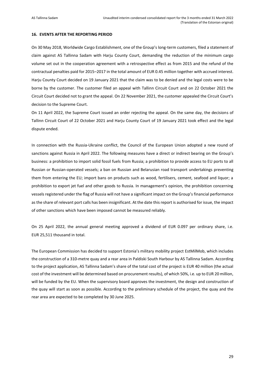#### <span id="page-28-0"></span>**16. EVENTS AFTER THE REPORTING PERIOD**

On 30 May 2018, Worldwide Cargo Establishment, one of the Group's long-term customers, filed a statement of claim against AS Tallinna Sadam with Harju County Court, demanding the reduction of the minimum cargo volume set out in the cooperation agreement with a retrospective effect as from 2015 and the refund of the contractual penalties paid for 2015–2017 in the total amount of EUR 0.45 million together with accrued interest. Harju County Court decided on 19 January 2021 that the claim was to be denied and the legal costs were to be borne by the customer. The customer filed an appeal with Tallinn Circuit Court and on 22 October 2021 the Circuit Court decided not to grant the appeal. On 22 November 2021, the customer appealed the Circuit Court's decision to the Supreme Court.

On 11 April 2022, the Supreme Court issued an order rejecting the appeal. On the same day, the decisions of Tallinn Circuit Court of 22 October 2021 and Harju County Court of 19 January 2021 took effect and the legal dispute ended.

In connection with the Russia-Ukraine conflict, the Council of the European Union adopted a new round of sanctions against Russia in April 2022. The following measures have a direct or indirect bearing on the Group's business: a prohibition to import solid fossil fuels from Russia; a prohibition to provide access to EU ports to all Russian or Russian-operated vessels; a ban on Russian and Belarusian road transport undertakings preventing them from entering the EU; import bans on products such as wood, fertilisers, cement, seafood and liquor; a prohibition to export jet fuel and other goods to Russia. In management's opinion, the prohibition concerning vessels registered under the flag of Russia will not have a significant impact on the Group's financial performance as the share of relevant port calls has been insignificant. At the date this report is authorised for issue, the impact of other sanctions which have been imposed cannot be measured reliably.

On 25 April 2022, the annual general meeting approved a dividend of EUR 0.097 per ordinary share, i.e. EUR 25,511 thousand in total.

The European Commission has decided to support Estonia's military mobility project EstMilMob, which includes the construction of a 310-metre quay and a rear area in Paldiski South Harbour by AS Tallinna Sadam. According to the project application, AS Tallinna Sadam's share of the total cost of the project is EUR 40 million (the actual cost of the investment will be determined based on procurement results), of which 50%, i.e. up to EUR 20 million, will be funded by the EU. When the supervisory board approves the investment, the design and construction of the quay will start as soon as possible. According to the preliminary schedule of the project, the quay and the rear area are expected to be completed by 30 June 2025.